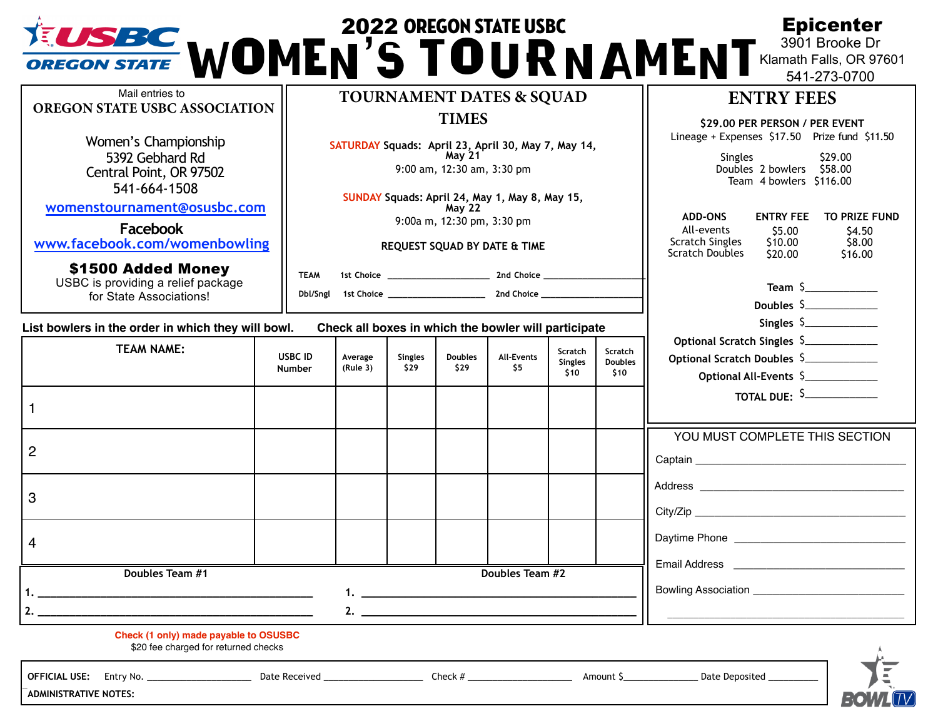| <b>ELISBE WOMEN'S TOURNAMENT</b>                                                                                                                                                                                   |                                 |                                                      |                        |                                                                                                                                                                              |                                                                                                                                                                                                                                                                                                                                                                            |                                   |                                   | <b>Epicenter</b><br>3901 Brooke Dr<br>Klamath Falls, OR 97601<br>541-273-0700                          |  |
|--------------------------------------------------------------------------------------------------------------------------------------------------------------------------------------------------------------------|---------------------------------|------------------------------------------------------|------------------------|------------------------------------------------------------------------------------------------------------------------------------------------------------------------------|----------------------------------------------------------------------------------------------------------------------------------------------------------------------------------------------------------------------------------------------------------------------------------------------------------------------------------------------------------------------------|-----------------------------------|-----------------------------------|--------------------------------------------------------------------------------------------------------|--|
| Mail entries to<br>OREGON STATE USBC ASSOCIATION<br>Women's Championship<br>5392 Gebhard Rd<br>Central Point, OR 97502<br>541-664-1508<br>womenstournament@osusbc.com<br>Facebook<br>www.facebook.com/womenbowling |                                 |                                                      |                        | <b>TOURNAMENT DATES &amp; SQUAD</b><br><b>TIMES</b>                                                                                                                          | <b>ENTRY FEES</b><br>\$29.00 PER PERSON / PER EVENT<br>Lineage + Expenses \$17.50 Prize fund \$11.50<br>\$29.00<br>Singles<br>Doubles 2 bowlers \$58.00<br>Team 4 bowlers \$116.00<br><b>ADD-ONS</b><br><b>ENTRY FEE</b><br>TO PRIZE FUND<br>All-events<br>\$5.00<br>\$4.50<br><b>Scratch Singles</b><br>\$10.00<br>\$8.00<br><b>Scratch Doubles</b><br>\$20.00<br>\$16.00 |                                   |                                   |                                                                                                        |  |
|                                                                                                                                                                                                                    |                                 | SATURDAY Squads: April 23, April 30, May 7, May 14,  |                        | <b>May 21</b><br>9:00 am, 12:30 am, 3:30 pm<br>SUNDAY Squads: April 24, May 1, May 8, May 15,<br><b>May 22</b><br>9:00a m, 12:30 pm, 3:30 pm<br>REQUEST SQUAD BY DATE & TIME |                                                                                                                                                                                                                                                                                                                                                                            |                                   |                                   |                                                                                                        |  |
| \$1500 Added Money<br>USBC is providing a relief package<br>for State Associations!<br>List bowlers in the order in which they will bowl.                                                                          | <b>TEAM</b><br>Dbl/Sngl         | Check all boxes in which the bowler will participate |                        |                                                                                                                                                                              | Team $\frac{5}{2}$ and the same set of the set of the set of the set of the set of the set of the set of the set of the set of the set of the set of the set of the set of the set of the set of the set of the set of the set of<br>Doubles $\frac{5}{2}$<br>Singles $\frac{5}{2}$                                                                                        |                                   |                                   |                                                                                                        |  |
| <b>TEAM NAME:</b>                                                                                                                                                                                                  | <b>USBC ID</b><br><b>Number</b> | Average<br>(Rule 3)                                  | <b>Singles</b><br>\$29 | <b>Doubles</b><br>\$29                                                                                                                                                       | <b>All-Events</b><br>\$5                                                                                                                                                                                                                                                                                                                                                   | Scratch<br><b>Singles</b><br>\$10 | Scratch<br><b>Doubles</b><br>\$10 | Optional Scratch Singles \$<br>Optional Scratch Doubles \$<br>Optional All-Events \$<br>TOTAL DUE: $5$ |  |
|                                                                                                                                                                                                                    |                                 |                                                      |                        |                                                                                                                                                                              |                                                                                                                                                                                                                                                                                                                                                                            |                                   |                                   |                                                                                                        |  |
| 2                                                                                                                                                                                                                  |                                 |                                                      |                        |                                                                                                                                                                              |                                                                                                                                                                                                                                                                                                                                                                            |                                   |                                   | YOU MUST COMPLETE THIS SECTION                                                                         |  |
| 3                                                                                                                                                                                                                  |                                 |                                                      |                        |                                                                                                                                                                              |                                                                                                                                                                                                                                                                                                                                                                            |                                   |                                   |                                                                                                        |  |
| 4                                                                                                                                                                                                                  |                                 |                                                      |                        |                                                                                                                                                                              |                                                                                                                                                                                                                                                                                                                                                                            |                                   |                                   | Daytime Phone _                                                                                        |  |
| Doubles Team #1<br>the control of the control of the control of the control of the control of the control of<br>2.                                                                                                 |                                 | Doubles Team #2<br>2. $\qquad \qquad$                |                        |                                                                                                                                                                              |                                                                                                                                                                                                                                                                                                                                                                            |                                   |                                   | Email Address <b>Email Address</b>                                                                     |  |
| Check (1 only) made payable to OSUSBC<br>\$20 fee charged for returned checks                                                                                                                                      |                                 |                                                      |                        |                                                                                                                                                                              |                                                                                                                                                                                                                                                                                                                                                                            |                                   |                                   |                                                                                                        |  |

\_\_ **ADMINISTRATIVE NOTES: OFFICIAL USE:** Entry No. \_\_\_\_\_\_\_\_\_\_\_\_\_\_\_\_\_\_\_\_\_\_\_\_ Date Received \_\_\_\_\_\_\_\_\_\_\_\_\_\_\_\_ Check # \_\_\_\_\_\_\_\_\_\_\_\_\_\_\_\_\_\_\_\_\_\_\_\_\_\_\_ Amount \$\_\_\_\_\_\_\_\_\_\_\_\_\_\_\_\_\_\_ Date Deposited \_\_\_\_

 $\frac{1}{2}$ **BOWL**  $\overline{\mathcal{V}}$